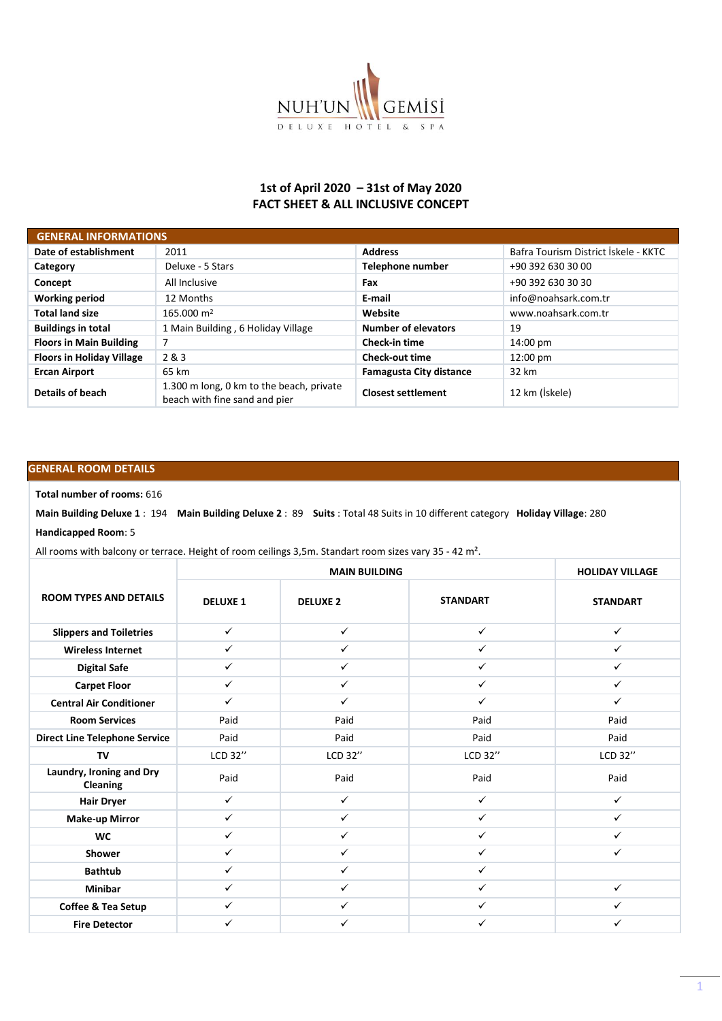

## **1st of April 2020 – 31st of May 2020 FACT SHEET & ALL INCLUSIVE CONCEPT**

| <b>GENERAL INFORMATIONS</b>      |                                                                           |                                |                                      |  |  |  |  |
|----------------------------------|---------------------------------------------------------------------------|--------------------------------|--------------------------------------|--|--|--|--|
| Date of establishment            | 2011                                                                      | <b>Address</b>                 | Bafra Tourism District İskele - KKTC |  |  |  |  |
| Category                         | Deluxe - 5 Stars                                                          | Telephone number               | +90 392 630 30 00                    |  |  |  |  |
| Concept                          | All Inclusive                                                             | Fax                            | +90 392 630 30 30                    |  |  |  |  |
| <b>Working period</b>            | 12 Months                                                                 | E-mail                         | info@noahsark.com.tr                 |  |  |  |  |
| <b>Total land size</b>           | 165.000 m <sup>2</sup>                                                    | Website                        | www.noahsark.com.tr                  |  |  |  |  |
| <b>Buildings in total</b>        | 1 Main Building, 6 Holiday Village                                        | <b>Number of elevators</b>     | 19                                   |  |  |  |  |
| <b>Floors in Main Building</b>   | 7                                                                         | <b>Check-in time</b>           | 14:00 pm                             |  |  |  |  |
| <b>Floors in Holiday Village</b> | 2 & 3                                                                     | <b>Check-out time</b>          | $12:00 \text{ pm}$                   |  |  |  |  |
| <b>Ercan Airport</b>             | 65 km                                                                     | <b>Famagusta City distance</b> | 32 km                                |  |  |  |  |
| Details of beach                 | 1.300 m long, 0 km to the beach, private<br>beach with fine sand and pier | <b>Closest settlement</b>      | 12 km (İskele)                       |  |  |  |  |

## **GENERAL ROOM DETAILS**

## **Total number of rooms:** 616

**Main Building Deluxe 1** : 194 **Main Building Deluxe 2** : 89 **Suits** : Total 48 Suits in 10 different category **Holiday Village**: 280

## **Handicapped Room**: 5

All rooms with balcony or terrace. Height of room ceilings 3,5m. Standart room sizes vary 35 - 42 m².

|                                             |                 | <b>HOLIDAY VILLAGE</b> |                 |                 |
|---------------------------------------------|-----------------|------------------------|-----------------|-----------------|
| <b>ROOM TYPES AND DETAILS</b>               | <b>DELUXE 1</b> | <b>DELUXE 2</b>        | <b>STANDART</b> | <b>STANDART</b> |
| <b>Slippers and Toiletries</b>              | $\checkmark$    | $\checkmark$           | $\checkmark$    | $\checkmark$    |
| <b>Wireless Internet</b>                    | $\checkmark$    | $\checkmark$           | $\checkmark$    | $\checkmark$    |
| <b>Digital Safe</b>                         | $\checkmark$    | $\checkmark$           | $\checkmark$    | $\checkmark$    |
| <b>Carpet Floor</b>                         | $\checkmark$    | $\checkmark$           | $\checkmark$    | $\checkmark$    |
| <b>Central Air Conditioner</b>              | $\checkmark$    | $\checkmark$           | $\checkmark$    | $\checkmark$    |
| <b>Room Services</b>                        | Paid            | Paid                   | Paid            | Paid            |
| <b>Direct Line Telephone Service</b>        | Paid            | Paid                   | Paid            | Paid            |
| TV                                          | LCD 32"         | LCD 32"                | LCD 32"         | LCD 32"         |
| Laundry, Ironing and Dry<br><b>Cleaning</b> | Paid            | Paid                   | Paid            | Paid            |
| <b>Hair Dryer</b>                           | $\checkmark$    | $\checkmark$           | $\checkmark$    | $\checkmark$    |
| <b>Make-up Mirror</b>                       | $\checkmark$    | $\checkmark$           | $\checkmark$    | $\checkmark$    |
| <b>WC</b>                                   | $\checkmark$    | $\checkmark$           | $\checkmark$    | $\checkmark$    |
| Shower                                      | $\checkmark$    | $\checkmark$           | $\checkmark$    | $\checkmark$    |
| <b>Bathtub</b>                              | $\checkmark$    | $\checkmark$           | $\checkmark$    |                 |
| <b>Minibar</b>                              | $\checkmark$    | $\checkmark$           | $\checkmark$    | $\checkmark$    |
| Coffee & Tea Setup                          | $\checkmark$    | $\checkmark$           | $\checkmark$    | ✓               |
| <b>Fire Detector</b>                        | $\checkmark$    | ✓                      | ✓               | ✓               |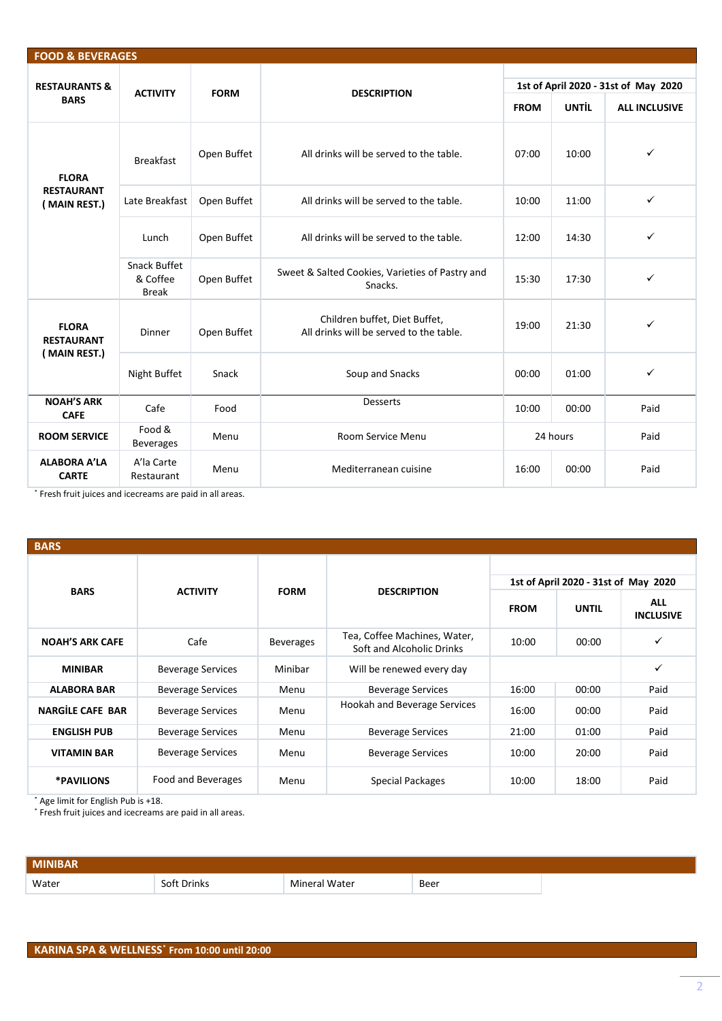| <b>FOOD &amp; BEVERAGES</b>         |                                                 |                                         |                                                                          |                                      |              |                      |  |  |  |  |
|-------------------------------------|-------------------------------------------------|-----------------------------------------|--------------------------------------------------------------------------|--------------------------------------|--------------|----------------------|--|--|--|--|
|                                     |                                                 |                                         |                                                                          |                                      |              |                      |  |  |  |  |
| <b>RESTAURANTS &amp;</b>            | <b>ACTIVITY</b>                                 | <b>FORM</b>                             | <b>DESCRIPTION</b>                                                       | 1st of April 2020 - 31st of May 2020 |              |                      |  |  |  |  |
| <b>BARS</b>                         |                                                 |                                         |                                                                          | <b>FROM</b>                          | <b>UNTIL</b> | <b>ALL INCLUSIVE</b> |  |  |  |  |
| <b>FLORA</b>                        | <b>Breakfast</b>                                | Open Buffet                             | All drinks will be served to the table.                                  | 07:00                                | 10:00        | ✓                    |  |  |  |  |
| <b>RESTAURANT</b><br>(MAIN REST.)   | Late Breakfast                                  | Open Buffet                             | All drinks will be served to the table.                                  | 10:00                                | 11:00        | $\checkmark$         |  |  |  |  |
|                                     | Open Buffet<br>Lunch                            | All drinks will be served to the table. | 12:00                                                                    | 14:30                                | ✓            |                      |  |  |  |  |
|                                     | <b>Snack Buffet</b><br>& Coffee<br><b>Break</b> | Open Buffet                             | Sweet & Salted Cookies, Varieties of Pastry and<br>Snacks.               | 15:30                                | 17:30        | ✓                    |  |  |  |  |
| <b>FLORA</b><br><b>RESTAURANT</b>   | <b>Dinner</b>                                   | Open Buffet                             | Children buffet, Diet Buffet,<br>All drinks will be served to the table. | 19:00                                | 21:30        | ✓                    |  |  |  |  |
| (MAIN REST.)                        | Night Buffet                                    | Snack                                   | Soup and Snacks                                                          | 00:00                                | 01:00        | $\checkmark$         |  |  |  |  |
| <b>NOAH'S ARK</b><br><b>CAFE</b>    | Cafe                                            | Food                                    | <b>Desserts</b>                                                          | 10:00                                | 00:00        | Paid                 |  |  |  |  |
| <b>ROOM SERVICE</b>                 | Food &<br><b>Beverages</b>                      | Menu                                    | Room Service Menu                                                        |                                      | 24 hours     | Paid                 |  |  |  |  |
| <b>ALABORA A'LA</b><br><b>CARTE</b> | A'la Carte<br>Restaurant                        | Menu                                    | Mediterranean cuisine                                                    | 16:00                                | 00:00        | Paid                 |  |  |  |  |

˟ Fresh fruit juices and icecreams are paid in all areas.

| <b>BARS</b>             |                          |                  |                                                           |                                      |              |                                |  |
|-------------------------|--------------------------|------------------|-----------------------------------------------------------|--------------------------------------|--------------|--------------------------------|--|
|                         |                          |                  |                                                           | 1st of April 2020 - 31st of May 2020 |              |                                |  |
| <b>BARS</b>             | <b>ACTIVITY</b>          | <b>FORM</b>      | <b>DESCRIPTION</b>                                        | <b>FROM</b>                          | <b>UNTIL</b> | <b>ALL</b><br><b>INCLUSIVE</b> |  |
| <b>NOAH'S ARK CAFE</b>  | Cafe                     | <b>Beverages</b> | Tea, Coffee Machines, Water,<br>Soft and Alcoholic Drinks | 10:00                                | 00:00        | $\checkmark$                   |  |
| <b>MINIBAR</b>          | <b>Beverage Services</b> | Minibar          | Will be renewed every day                                 |                                      |              | $\checkmark$                   |  |
| <b>ALABORA BAR</b>      | <b>Beverage Services</b> | Menu             | <b>Beverage Services</b>                                  | 16:00                                | 00:00        | Paid                           |  |
| <b>NARGILE CAFE BAR</b> | <b>Beverage Services</b> | Menu             | Hookah and Beverage Services                              | 16:00                                | 00:00        | Paid                           |  |
| <b>ENGLISH PUB</b>      | <b>Beverage Services</b> | Menu             | <b>Beverage Services</b>                                  | 21:00                                | 01:00        | Paid                           |  |
| <b>VITAMIN BAR</b>      | <b>Beverage Services</b> | Menu             | <b>Beverage Services</b>                                  | 10:00                                | 20:00        | Paid                           |  |
| *PAVILIONS              | Food and Beverages       | Menu             | Special Packages                                          | 10:00                                | 18:00        | Paid                           |  |

˟ Age limit for English Pub is +18.

˟ Fresh fruit juices and icecreams are paid in all areas.

| <b>MINIBAR</b> |             |               |      |  |
|----------------|-------------|---------------|------|--|
| Water          | Soft Drinks | Mineral Water | Beer |  |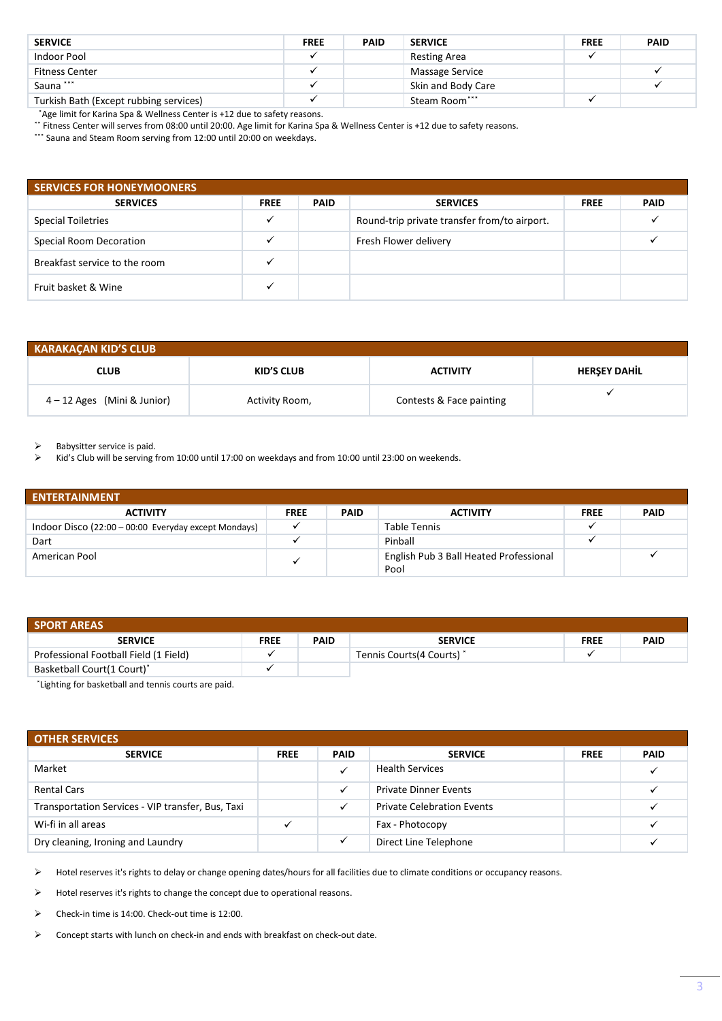| <b>SERVICE</b>                         | <b>FREE</b> | <b>PAID</b> | <b>SERVICE</b>     | <b>FREE</b> | <b>PAID</b> |
|----------------------------------------|-------------|-------------|--------------------|-------------|-------------|
| Indoor Pool                            |             |             | Resting Area       |             |             |
| <b>Fitness Center</b>                  |             |             | Massage Service    |             |             |
| Sauna ***                              |             |             | Skin and Body Care |             |             |
| Turkish Bath (Except rubbing services) |             |             | Steam Room***      |             |             |

˟Age limit for Karina Spa & Wellness Center is +12 due to safety reasons.

˟˟ Fitness Center will serves from 08:00 until 20:00. Age limit for Karina Spa & Wellness Center is +12 due to safety reasons.

\*\*\* Sauna and Steam Room serving from 12:00 until 20:00 on weekdays.

| <b>SERVICES FOR HONEYMOONERS</b> |             |             |                                              |             |             |  |  |
|----------------------------------|-------------|-------------|----------------------------------------------|-------------|-------------|--|--|
| <b>SERVICES</b>                  | <b>FREE</b> | <b>PAID</b> | <b>SERVICES</b>                              | <b>FREE</b> | <b>PAID</b> |  |  |
| <b>Special Toiletries</b>        |             |             | Round-trip private transfer from/to airport. |             |             |  |  |
| Special Room Decoration          |             |             | Fresh Flower delivery                        |             |             |  |  |
| Breakfast service to the room    |             |             |                                              |             |             |  |  |
| Fruit basket & Wine              |             |             |                                              |             |             |  |  |

| <b>KARAKACAN KID'S CLUB</b>   |                   |                          |                     |  |  |  |  |
|-------------------------------|-------------------|--------------------------|---------------------|--|--|--|--|
| <b>CLUB</b>                   | <b>KID'S CLUB</b> | <b>ACTIVITY</b>          | <b>HERSEY DAHIL</b> |  |  |  |  |
| $4 - 12$ Ages (Mini & Junior) | Activity Room,    | Contests & Face painting |                     |  |  |  |  |

 $\triangleright$  Babysitter service is paid.

➢ Kid's Club will be serving from 10:00 until 17:00 on weekdays and from 10:00 until 23:00 on weekends.

| <b>ENTERTAINMENT</b>                                 |             |             |                                        |             |             |  |  |
|------------------------------------------------------|-------------|-------------|----------------------------------------|-------------|-------------|--|--|
| <b>ACTIVITY</b>                                      | <b>FREE</b> | <b>PAID</b> | <b>ACTIVITY</b>                        | <b>FREE</b> | <b>PAID</b> |  |  |
| Indoor Disco (22:00 - 00:00 Everyday except Mondays) |             |             | Table Tennis                           |             |             |  |  |
| Dart                                                 |             |             | Pinball                                |             |             |  |  |
| American Pool                                        |             |             | English Pub 3 Ball Heated Professional |             |             |  |  |
|                                                      |             |             | Pool                                   |             |             |  |  |

| <b>SPORT AREAS</b>                     |             |             |                            |             |             |  |  |  |
|----------------------------------------|-------------|-------------|----------------------------|-------------|-------------|--|--|--|
| <b>SERVICE</b>                         | <b>FREE</b> | <b>PAID</b> | <b>SERVICE</b>             | <b>FREE</b> | <b>PAID</b> |  |  |  |
| Professional Football Field (1 Field)  |             |             | Tennis Courts (4 Courts) * |             |             |  |  |  |
| Basketball Court(1 Court) <sup>*</sup> |             |             |                            |             |             |  |  |  |

\*Lighting for basketball and tennis courts are paid.

| <b>OTHER SERVICES</b>                             |             |             |                                   |             |             |  |  |  |
|---------------------------------------------------|-------------|-------------|-----------------------------------|-------------|-------------|--|--|--|
| <b>SERVICE</b>                                    | <b>FREE</b> | <b>PAID</b> | <b>SERVICE</b>                    | <b>FREE</b> | <b>PAID</b> |  |  |  |
| Market                                            |             |             | <b>Health Services</b>            |             |             |  |  |  |
| <b>Rental Cars</b>                                |             |             | <b>Private Dinner Events</b>      |             |             |  |  |  |
| Transportation Services - VIP transfer, Bus, Taxi |             |             | <b>Private Celebration Events</b> |             |             |  |  |  |
| Wi-fi in all areas                                |             |             | Fax - Photocopy                   |             |             |  |  |  |
| Dry cleaning, Ironing and Laundry                 |             |             | Direct Line Telephone             |             |             |  |  |  |

➢ Hotel reserves it's rights to delay or change opening dates/hours for all facilities due to climate conditions or occupancy reasons.

➢ Hotel reserves it's rights to change the concept due to operational reasons.

➢ Check-in time is 14:00. Check-out time is 12:00.

➢ Concept starts with lunch on check-in and ends with breakfast on check-out date.